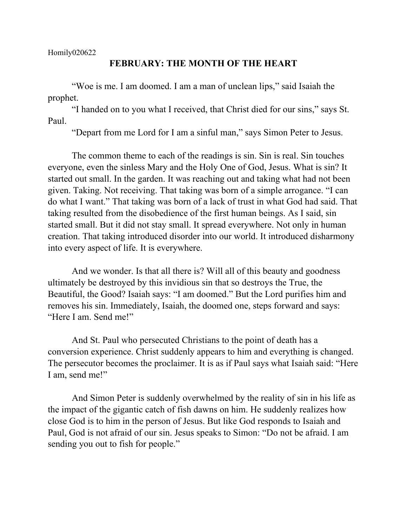Homily020622

## **FEBRUARY: THE MONTH OF THE HEART**

"Woe is me. I am doomed. I am a man of unclean lips," said Isaiah the prophet.

"I handed on to you what I received, that Christ died for our sins," says St. Paul.

"Depart from me Lord for I am a sinful man," says Simon Peter to Jesus.

The common theme to each of the readings is sin. Sin is real. Sin touches everyone, even the sinless Mary and the Holy One of God, Jesus. What is sin? It started out small. In the garden. It was reaching out and taking what had not been given. Taking. Not receiving. That taking was born of a simple arrogance. "I can do what I want." That taking was born of a lack of trust in what God had said. That taking resulted from the disobedience of the first human beings. As I said, sin started small. But it did not stay small. It spread everywhere. Not only in human creation. That taking introduced disorder into our world. It introduced disharmony into every aspect of life. It is everywhere.

And we wonder. Is that all there is? Will all of this beauty and goodness ultimately be destroyed by this invidious sin that so destroys the True, the Beautiful, the Good? Isaiah says: "I am doomed." But the Lord purifies him and removes his sin. Immediately, Isaiah, the doomed one, steps forward and says: "Here I am. Send me!"

And St. Paul who persecuted Christians to the point of death has a conversion experience. Christ suddenly appears to him and everything is changed. The persecutor becomes the proclaimer. It is as if Paul says what Isaiah said: "Here I am, send me!"

And Simon Peter is suddenly overwhelmed by the reality of sin in his life as the impact of the gigantic catch of fish dawns on him. He suddenly realizes how close God is to him in the person of Jesus. But like God responds to Isaiah and Paul, God is not afraid of our sin. Jesus speaks to Simon: "Do not be afraid. I am sending you out to fish for people."